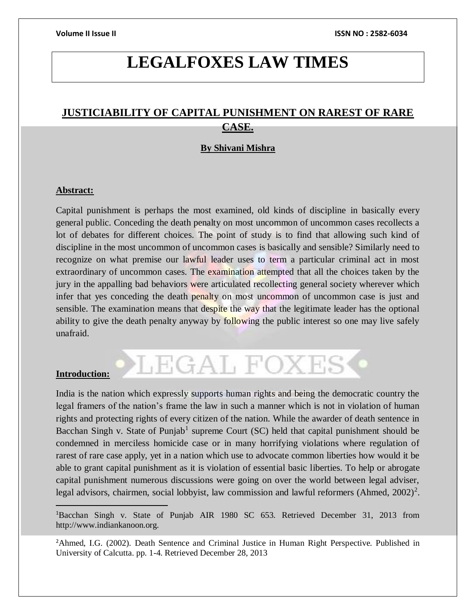# **LEGALFOXES LAW TIMES**

## **JUSTICIABILITY OF CAPITAL PUNISHMENT ON RAREST OF RARE CASE.**

### **By Shivani Mishra**

### **Abstract:**

Capital punishment is perhaps the most examined, old kinds of discipline in basically every general public. Conceding the death penalty on most uncommon of uncommon cases recollects a lot of debates for different choices. The point of study is to find that allowing such kind of discipline in the most uncommon of uncommon cases is basically and sensible? Similarly need to recognize on what premise our lawful leader uses to term a particular criminal act in most extraordinary of uncommon cases. The examination attempted that all the choices taken by the jury in the appalling bad behaviors were articulated recollecting general society wherever which infer that yes conceding the death penalty on most uncommon of uncommon case is just and sensible. The examination means that despite the way that the legitimate leader has the optional ability to give the death penalty anyway by following the public interest so one may live safely unafraid.

### **Introduction:**

 $\overline{a}$ 

India is the nation which expressly supports human rights and being the democratic country the legal framers of the nation's frame the law in such a manner which is not in violation of human rights and protecting rights of every citizen of the nation. While the awarder of death sentence in Bacchan Singh v. State of Punjab<sup>1</sup> supreme Court  $(SC)$  held that capital punishment should be condemned in merciless homicide case or in many horrifying violations where regulation of rarest of rare case apply, yet in a nation which use to advocate common liberties how would it be able to grant capital punishment as it is violation of essential basic liberties. To help or abrogate capital punishment numerous discussions were going on over the world between legal adviser, legal advisors, chairmen, social lobbyist, law commission and lawful reformers (Ahmed,  $2002$ )<sup>2</sup>.

LEGAL FOXES

<sup>1</sup>Bacchan Singh v. State of Punjab AIR 1980 SC 653. Retrieved December 31, 2013 from http://www.indiankanoon.org.

<sup>2</sup>Ahmed, I.G. (2002). Death Sentence and Criminal Justice in Human Right Perspective. Published in University of Calcutta. pp. 1-4. Retrieved December 28, 2013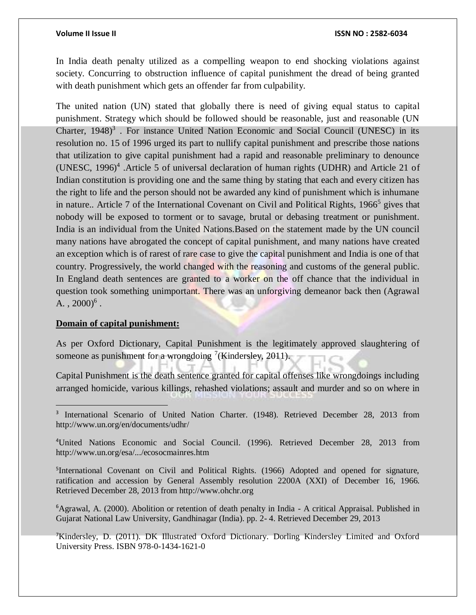In India death penalty utilized as a compelling weapon to end shocking violations against society. Concurring to obstruction influence of capital punishment the dread of being granted with death punishment which gets an offender far from culpability.

The united nation (UN) stated that globally there is need of giving equal status to capital punishment. Strategy which should be followed should be reasonable, just and reasonable (UN Charter,  $1948$ <sup>3</sup>. For instance United Nation Economic and Social Council (UNESC) in its resolution no. 15 of 1996 urged its part to nullify capital punishment and prescribe those nations that utilization to give capital punishment had a rapid and reasonable preliminary to denounce (UNESC, 1996)<sup>4</sup> .Article 5 of universal declaration of human rights (UDHR) and Article 21 of Indian constitution is providing one and the same thing by stating that each and every citizen has the right to life and the person should not be awarded any kind of punishment which is inhumane in nature.. Article 7 of the International Covenant on Civil and Political Rights, 1966<sup>5</sup> gives that nobody will be exposed to torment or to savage, brutal or debasing treatment or punishment. India is an individual from the United Nations.Based on the statement made by the UN council many nations have abrogated the concept of capital punishment, and many nations have created an exception which is of rarest of rare case to give the capital punishment and India is one of that country. Progressively, the world changed with the reasoning and customs of the general public. In England death sentences are granted to a worker on the off chance that the individual in question took something unimportant. There was an unforgiving demeanor back then (Agrawal A.,  $2000)^6$ .

### **Domain of capital punishment:**

 $\overline{a}$ 

As per Oxford Dictionary, Capital Punishment is the legitimately approved slaughtering of someone as punishment for a wrongdoing  $\frac{7}{K}$ indersley, 2011).

Capital Punishment is the death sentence granted for capital offenses like wrongdoings including arranged homicide, various killings, rehashed violations; assault and murder and so on where in

<sup>6</sup>Agrawal, A. (2000). Abolition or retention of death penalty in India - A critical Appraisal. Published in Gujarat National Law University, Gandhinagar (India). pp. 2- 4. Retrieved December 29, 2013

<sup>7</sup>Kindersley, D. (2011). DK Illustrated Oxford Dictionary. Dorling Kindersley Limited and Oxford University Press. ISBN 978-0-1434-1621-0

<sup>&</sup>lt;sup>3</sup> International Scenario of United Nation Charter. (1948). Retrieved December 28, 2013 from http://www.un.org/en/documents/udhr/

<sup>4</sup>United Nations Economic and Social Council. (1996). Retrieved December 28, 2013 from http://www.un.org/esa/.../ecosocmainres.htm

<sup>&</sup>lt;sup>5</sup>International Covenant on Civil and Political Rights. (1966) Adopted and opened for signature, ratification and accession by General Assembly resolution 2200A (XXI) of December 16, 1966. Retrieved December 28, 2013 from http://www.ohchr.org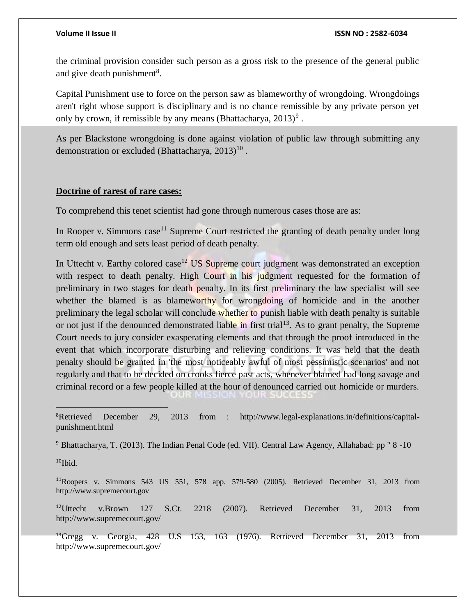the criminal provision consider such person as a gross risk to the presence of the general public and give death punishment<sup>8</sup>.

Capital Punishment use to force on the person saw as blameworthy of wrongdoing. Wrongdoings aren't right whose support is disciplinary and is no chance remissible by any private person yet only by crown, if remissible by any means (Bhattacharya,  $2013$ )<sup>9</sup>.

As per Blackstone wrongdoing is done against violation of public law through submitting any demonstration or excluded (Bhattacharya,  $2013)^{10}$ .

### **Doctrine of rarest of rare cases:**

To comprehend this tenet scientist had gone through numerous cases those are as:

In Rooper v. Simmons case<sup>11</sup> Supreme Court restricted the granting of death penalty under long term old enough and sets least period of death penalty.

In Uttecht v. Earthy colored case<sup>12</sup> US Supreme court judgment was demonstrated an exception with respect to death penalty. High Court in his judgment requested for the formation of preliminary in two stages for death penalty. In its first preliminary the law specialist will see whether the blamed is as blameworthy for wrongdoing of homicide and in the another preliminary the legal scholar will conclude whether to punish liable with death penalty is suitable or not just if the denounced demonstrated liable in first trial<sup>13</sup>. As to grant penalty, the Supreme Court needs to jury consider exasperating elements and that through the proof introduced in the event that which incorporate disturbing and relieving conditions. It was held that the death penalty should be granted in 'the most noticeably awful of most pessimistic scenarios' and not regularly and that to be decided on crooks fierce past acts, whenever blamed had long savage and criminal record or a few people killed at the hour of denounced carried out homicide or murders.

8Retrieved December 29, 2013 from : http://www.legal-explanations.in/definitions/capitalpunishment.html

<sup>9</sup> Bhattacharya, T. (2013). The Indian Penal Code (ed. VII). Central Law Agency, Allahabad: pp " 8 -10

 $10$ Ibid.

<sup>11</sup>Roopers v. Simmons 543 US 551, 578 app. 579-580 (2005). Retrieved December 31, 2013 from http://www.supremecourt.gov

<sup>12</sup>Uttecht v.Brown 127 S.Ct. 2218 (2007). Retrieved December 31, 2013 from http://www.supremecourt.gov/

<sup>13</sup>Gregg v. Georgia, 428 U.S 153, 163 (1976). Retrieved December 31, 2013 from http://www.supremecourt.gov/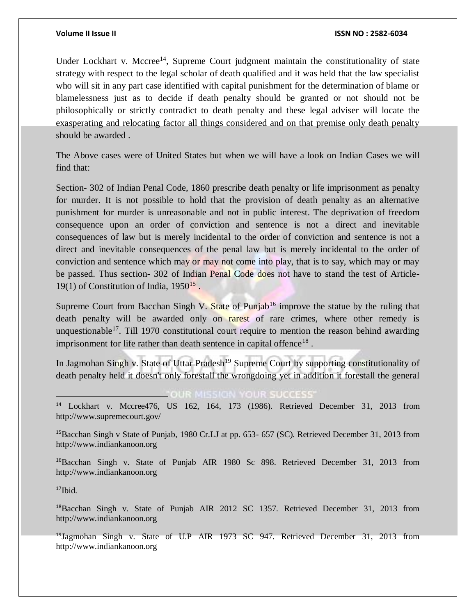### **Volume II Issue II ISSN NO : 2582-6034**

Under Lockhart v. Mccree<sup>14</sup>, Supreme Court judgment maintain the constitutionality of state strategy with respect to the legal scholar of death qualified and it was held that the law specialist who will sit in any part case identified with capital punishment for the determination of blame or blamelessness just as to decide if death penalty should be granted or not should not be philosophically or strictly contradict to death penalty and these legal adviser will locate the exasperating and relocating factor all things considered and on that premise only death penalty should be awarded .

The Above cases were of United States but when we will have a look on Indian Cases we will find that:

Section- 302 of Indian Penal Code, 1860 prescribe death penalty or life imprisonment as penalty for murder. It is not possible to hold that the provision of death penalty as an alternative punishment for murder is unreasonable and not in public interest. The deprivation of freedom consequence upon an order of conviction and sentence is not a direct and inevitable consequences of law but is merely incidental to the order of conviction and sentence is not a direct and inevitable consequences of the penal law but is merely incidental to the order of conviction and sentence which may or may not come into play, that is to say, which may or may be passed. Thus section- 302 of Indian Penal Code does not have to stand the test of Article-19(1) of Constitution of India,  $1950^{15}$ .

Supreme Court from Bacchan Singh V. State of Punjab<sup>16</sup> improve the statue by the ruling that death penalty will be awarded only on rarest of rare crimes, where other remedy is unquestionable<sup>17</sup>. Till 1970 constitutional court require to mention the reason behind awarding imprisonment for life rather than death sentence in capital offence<sup>18</sup>.

In Jagmohan Singh v. State of Uttar Pradesh<sup>19</sup> Supreme Court by supporting constitutionality of death penalty held it doesn't only forestall the wrongdoing yet in addition it forestall the general

### **"OUR MISSION YOUR SUCCESS"**

<sup>14</sup> Lockhart v. Mccree476, US 162, 164, 173 (1986). Retrieved December 31, 2013 from http://www.supremecourt.gov/

<sup>15</sup>Bacchan Singh v State of Punjab, 1980 Cr.LJ at pp. 653- 657 (SC). Retrieved December 31, 2013 from http://www.indiankanoon.org

<sup>16</sup>Bacchan Singh v. State of Punjab AIR 1980 Sc 898. Retrieved December 31, 2013 from http://www.indiankanoon.org

 $17$ Ibid.

 $\overline{a}$ 

<sup>18</sup>Bacchan Singh v. State of Punjab AIR 2012 SC 1357. Retrieved December 31, 2013 from http://www.indiankanoon.org

<sup>19</sup>Jagmohan Singh v. State of U.P AIR 1973 SC 947. Retrieved December 31, 2013 from http://www.indiankanoon.org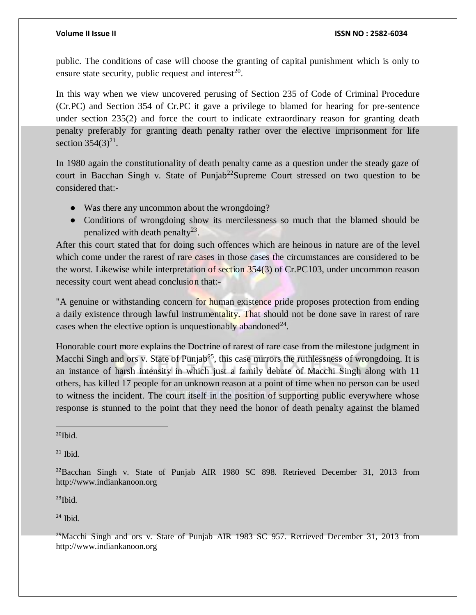public. The conditions of case will choose the granting of capital punishment which is only to ensure state security, public request and interest<sup>20</sup>.

In this way when we view uncovered perusing of Section 235 of Code of Criminal Procedure (Cr.PC) and Section 354 of Cr.PC it gave a privilege to blamed for hearing for pre-sentence under section 235(2) and force the court to indicate extraordinary reason for granting death penalty preferably for granting death penalty rather over the elective imprisonment for life section  $354(3)^{21}$ .

In 1980 again the constitutionality of death penalty came as a question under the steady gaze of court in Bacchan Singh v. State of Punjab<sup>22</sup>Supreme Court stressed on two question to be considered that:-

- Was there any uncommon about the wrongdoing?
- Conditions of wrongdoing show its mercilessness so much that the blamed should be penalized with death penalty<sup>23</sup>.

After this court stated that for doing such offences which are heinous in nature are of the level which come under the rarest of rare cases in those cases the circumstances are considered to be the worst. Likewise while interpretation of section 354(3) of Cr.PC103, under uncommon reason necessity court went ahead conclusion that:-

"A genuine or withstanding concern for human existence pride proposes protection from ending a daily existence through lawful instrumentality. That should not be done save in rarest of rare cases when the elective option is unquestionably abandoned<sup>24</sup>.

Honorable court more explains the Doctrine of rarest of rare case from the milestone judgment in Macchi Singh and ors v. State of Punjab<sup>25</sup>, this case mirrors the ruthlessness of wrongdoing. It is an instance of harsh intensity in which just a family debate of Macchi Singh along with 11 others, has killed 17 people for an unknown reason at a point of time when no person can be used to witness the incident. The court itself in the position of supporting public everywhere whose response is stunned to the point that they need the honor of death penalty against the blamed

 $20$ Ibid.

 $\overline{a}$ 

 $21$  Ibid.

 $23$ Ibid.

 $24$  Ibid.

 $^{25}$ Macchi Singh and ors v. State of Punjab AIR 1983 SC 957. Retrieved December 31, 2013 from http://www.indiankanoon.org

<sup>22</sup>Bacchan Singh v. State of Punjab AIR 1980 SC 898. Retrieved December 31, 2013 from http://www.indiankanoon.org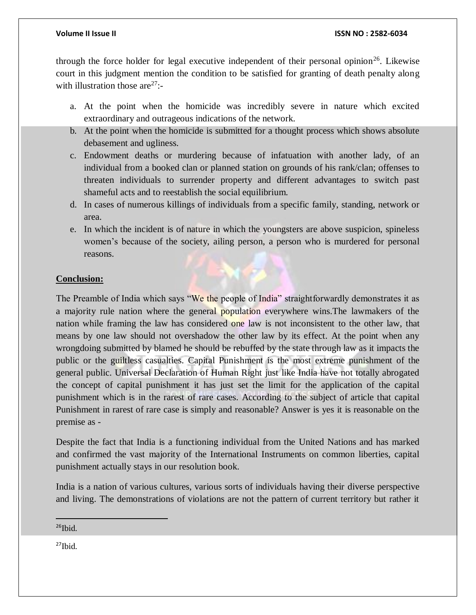### **Volume II Issue II ISSN NO : 2582-6034**

through the force holder for legal executive independent of their personal opinion<sup>26</sup>. Likewise court in this judgment mention the condition to be satisfied for granting of death penalty along with illustration those are $27$ :-

- a. At the point when the homicide was incredibly severe in nature which excited extraordinary and outrageous indications of the network.
- b. At the point when the homicide is submitted for a thought process which shows absolute debasement and ugliness.
- c. Endowment deaths or murdering because of infatuation with another lady, of an individual from a booked clan or planned station on grounds of his rank/clan; offenses to threaten individuals to surrender property and different advantages to switch past shameful acts and to reestablish the social equilibrium.
- d. In cases of numerous killings of individuals from a specific family, standing, network or area.
- e. In which the incident is of nature in which the youngsters are above suspicion, spineless women's because of the society, ailing person, a person who is murdered for personal reasons.

### **Conclusion:**

The Preamble of India which says "We the people of India" straightforwardly demonstrates it as a majority rule nation where the general population everywhere wins.The lawmakers of the nation while framing the law has considered one law is not inconsistent to the other law, that means by one law should not overshadow the other law by its effect. At the point when any wrongdoing submitted by blamed he should be rebuffed by the state through law as it impacts the public or the guiltless casualties. Capital Punishment is the most extreme punishment of the general public. Universal Declaration of Human Right just like India have not totally abrogated the concept of capital punishment it has just set the limit for the application of the capital punishment which is in the rarest of rare cases. According to the subject of article that capital Punishment in rarest of rare case is simply and reasonable? Answer is yes it is reasonable on the premise as -

Despite the fact that India is a functioning individual from the United Nations and has marked and confirmed the vast majority of the International Instruments on common liberties, capital punishment actually stays in our resolution book.

India is a nation of various cultures, various sorts of individuals having their diverse perspective and living. The demonstrations of violations are not the pattern of current territory but rather it

 $26$ Ibid.

 $27$ Ibid.